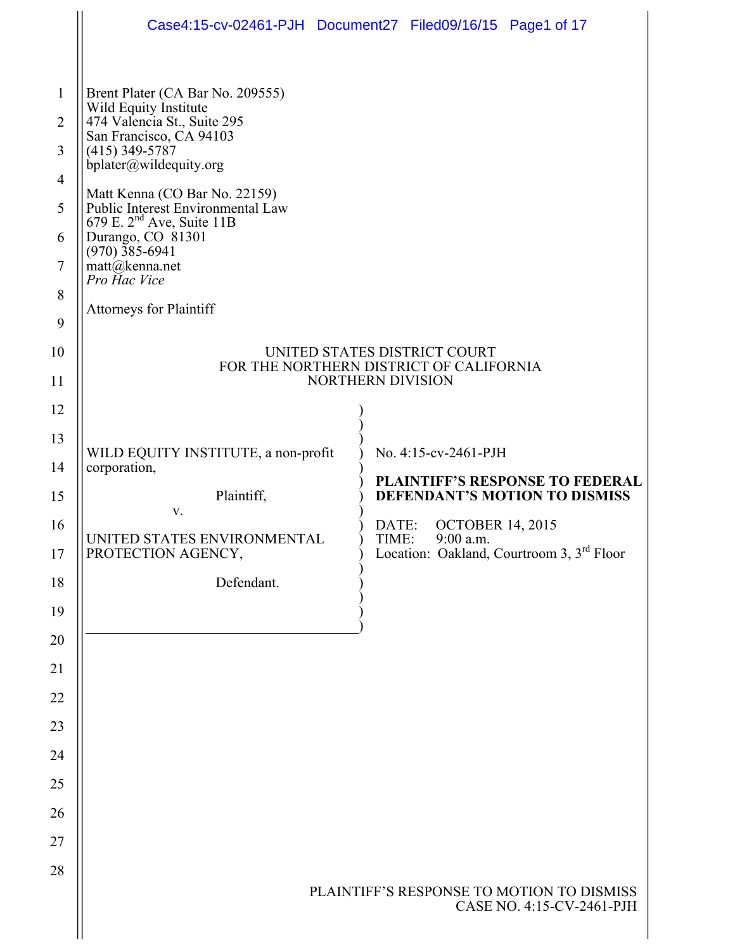|                     |                                                                                                     | Case4:15-cv-02461-PJH Document27 Filed09/16/15 Page1 of 17 |
|---------------------|-----------------------------------------------------------------------------------------------------|------------------------------------------------------------|
|                     |                                                                                                     |                                                            |
| $\mathbf{1}$        | Brent Plater (CA Bar No. 209555)<br>Wild Equity Institute                                           |                                                            |
| $\overline{2}$<br>3 | 474 Valencia St., Suite 295<br>San Francisco, CA 94103<br>$(415)$ 349-5787                          |                                                            |
| $\overline{4}$      | bplater@wildequity.org                                                                              |                                                            |
| 5                   | Matt Kenna (CO Bar No. 22159)<br>Public Interest Environmental Law                                  |                                                            |
| 6                   | 679 E. 2 <sup>nd</sup> Ave, Suite 11B<br>Durango, CO 81301                                          |                                                            |
| $\tau$              | $(970)\,$ 385-6941<br>$\text{matt}(\widehat{\omega})$ kenna.net<br>Pro Hac Vice                     |                                                            |
| 8                   | <b>Attorneys for Plaintiff</b>                                                                      |                                                            |
| 9                   |                                                                                                     |                                                            |
| 10                  | UNITED STATES DISTRICT COURT<br>FOR THE NORTHERN DISTRICT OF CALIFORNIA<br><b>NORTHERN DIVISION</b> |                                                            |
| 11                  |                                                                                                     |                                                            |
| 12                  |                                                                                                     |                                                            |
| 13                  | WILD EQUITY INSTITUTE, a non-profit                                                                 | No. 4:15-cv-2461-PJH                                       |
| 14                  | corporation,                                                                                        | <b>PLAINTIFF'S RESPONSE TO FEDERAL</b>                     |
| 15                  | Plaintiff,<br>V.                                                                                    | DEFENDANT'S MOTION TO DISMISS                              |
| 16                  | UNITED STATES ENVIRONMENTAL                                                                         | <b>OCTOBER 14, 2015</b><br>DATE:<br>TIME:<br>9:00 a.m.     |
| 17                  | PROTECTION AGENCY,                                                                                  | Location: Oakland, Courtroom 3, 3 <sup>rd</sup> Floor      |
| 18                  | Defendant.                                                                                          |                                                            |
| 19                  |                                                                                                     |                                                            |
| 20                  |                                                                                                     |                                                            |
| 21                  |                                                                                                     |                                                            |
| 22                  |                                                                                                     |                                                            |
| 23                  |                                                                                                     |                                                            |
| 24                  |                                                                                                     |                                                            |
| 25                  |                                                                                                     |                                                            |
| 26                  |                                                                                                     |                                                            |
| 27                  |                                                                                                     |                                                            |
| 28                  |                                                                                                     | PLAINTIFF'S RESPONSE TO MOTION TO DISMISS                  |
|                     |                                                                                                     | CASE NO. 4:15-CV-2461-PJH                                  |
|                     |                                                                                                     |                                                            |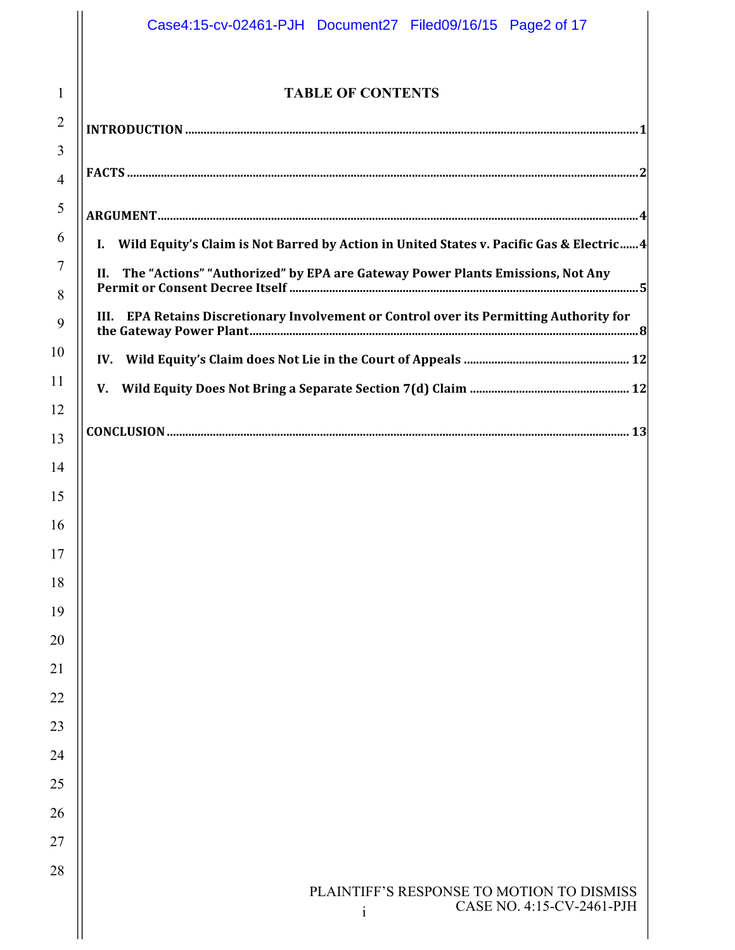# PLAINTIFF'S RESPONSE TO MOTION TO DISMISS CASE NO. 4:15-CV-2461-PJH i **TABLE OF CONTENTS INTRODUCTION ....................................................................................................................................................1 FACTS .......................................................................................................................................................................2 ARGUMENT.............................................................................................................................................................4 I.** Wild Equity's Claim is Not Barred by Action in United States v. Pacific Gas & Electric......4 **II.** The "Actions" "Authorized" by EPA are Gateway Power Plants Emissions, Not Any **Permit or Consent Decree Itself ..................................................................................................................5 III.** EPA Retains Discretionary Involvement or Control over its Permitting Authority for **the Gateway Power Plant...............................................................................................................................8 IV. Wild Equity's Claim does Not Lie in the Court of Appeals ...................................................... 12 V. Wild Equity Does Not Bring a Separate Section 7(d) Claim .................................................... 12 CONCLUSION....................................................................................................................................................... 13** Case4:15-cv-02461-PJH Document27 Filed09/16/15 Page2 of 17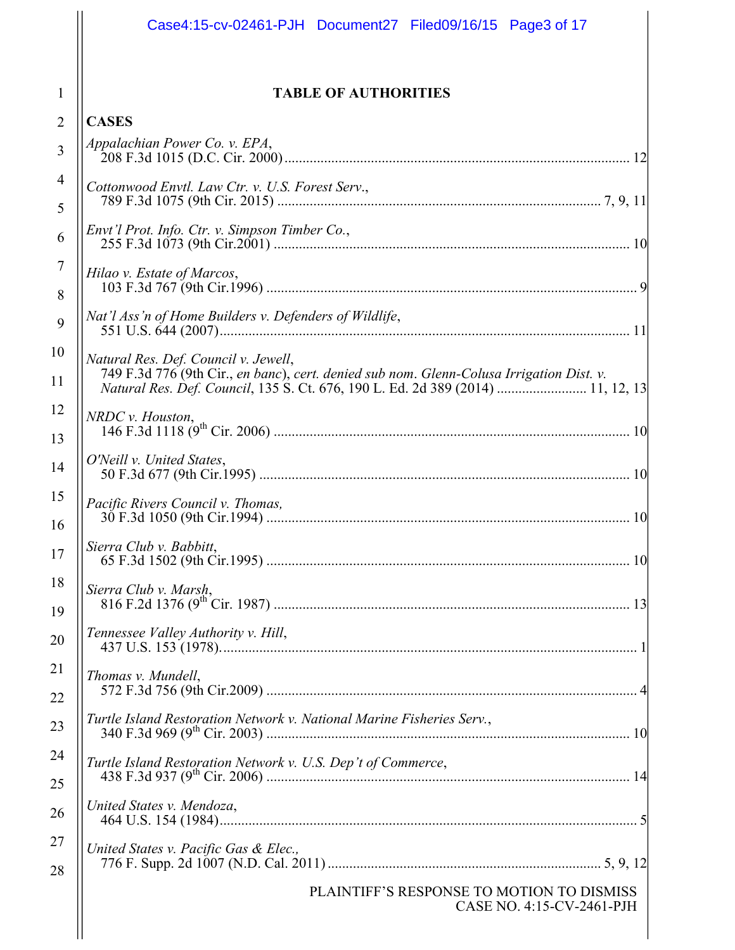|                | Case4:15-cv-02461-PJH Document27 Filed09/16/15 Page3 of 17                                                                       |  |  |  |  |
|----------------|----------------------------------------------------------------------------------------------------------------------------------|--|--|--|--|
| 1              | <b>TABLE OF AUTHORITIES</b>                                                                                                      |  |  |  |  |
| 2              | <b>CASES</b>                                                                                                                     |  |  |  |  |
| 3              | Appalachian Power Co. v. EPA,                                                                                                    |  |  |  |  |
| 4              | Cottonwood Envtl. Law Ctr. v. U.S. Forest Serv.,                                                                                 |  |  |  |  |
| 5              |                                                                                                                                  |  |  |  |  |
| 6              | Envt'l Prot. Info. Ctr. v. Simpson Timber Co.,                                                                                   |  |  |  |  |
| $\overline{7}$ | Hilao v. Estate of Marcos,<br>Nat'l Ass'n of Home Builders v. Defenders of Wildlife,                                             |  |  |  |  |
| 8<br>9         |                                                                                                                                  |  |  |  |  |
| 10             | 11 12.55 N of Trome Banacrs v. Befonders of Whalife,                                                                             |  |  |  |  |
| 11             | Natural Res. Def. Council v. Jewell,<br>749 F.3d 776 (9th Cir., en banc), cert. denied sub nom. Glenn-Colusa Irrigation Dist. v. |  |  |  |  |
| 12             | Natural Res. Def. Council, 135 S. Ct. 676, 190 L. Ed. 2d 389 (2014)  11, 12, 13                                                  |  |  |  |  |
| 13             | NRDC v. Houston,                                                                                                                 |  |  |  |  |
| 14             | O'Neill v. United States,                                                                                                        |  |  |  |  |
| 15             | Pacific Rivers Council v. Thomas,                                                                                                |  |  |  |  |
| 16             | Sierra Club v. Babbitt,                                                                                                          |  |  |  |  |
| 17             |                                                                                                                                  |  |  |  |  |
| 18             | Sierra Club v. Marsh,                                                                                                            |  |  |  |  |
| 19<br>20       | Tennessee Valley Authority v. Hill,                                                                                              |  |  |  |  |
| 21             |                                                                                                                                  |  |  |  |  |
| 22             | Thomas v. Mundell,                                                                                                               |  |  |  |  |
| 23             | Turtle Island Restoration Network v. National Marine Fisheries Serv.,                                                            |  |  |  |  |
| 24             | Turtle Island Restoration Network v. U.S. Dep't of Commerce,                                                                     |  |  |  |  |
| 25             |                                                                                                                                  |  |  |  |  |
| 26             | United States v. Mendoza,                                                                                                        |  |  |  |  |
| 27             | United States v. Pacific Gas & Elec.,                                                                                            |  |  |  |  |
| 28             | PLAINTIFF'S RESPONSE TO MOTION TO DISMISS<br>CASE NO. 4:15-CV-2461-PJH                                                           |  |  |  |  |
|                |                                                                                                                                  |  |  |  |  |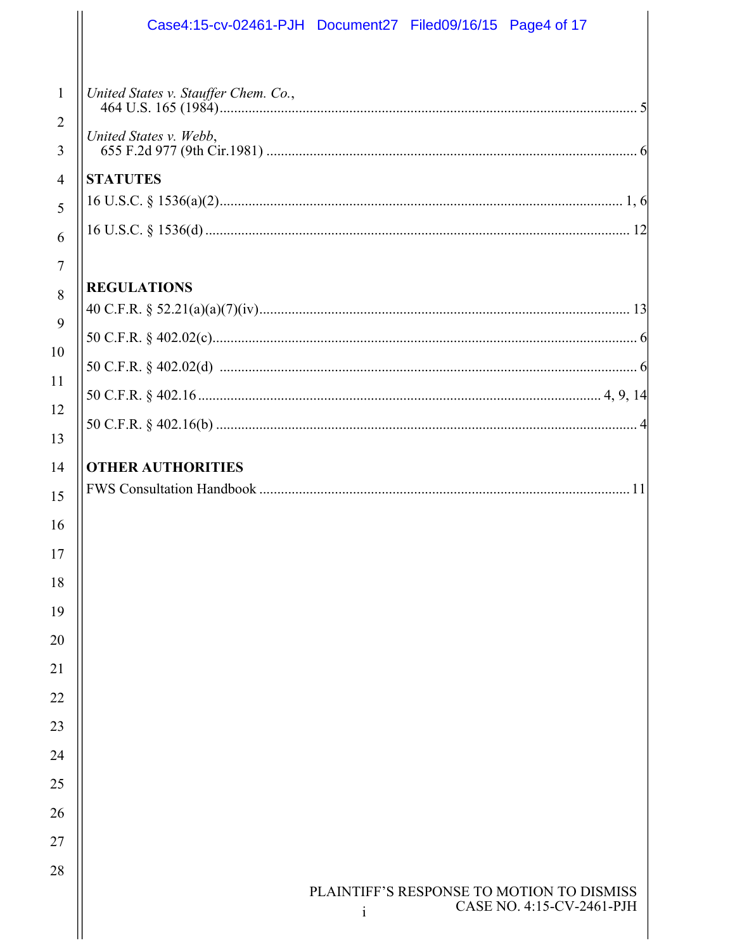|                          | Case4:15-cv-02461-PJH Document27 Filed09/16/15 Page4 of 17                             |
|--------------------------|----------------------------------------------------------------------------------------|
| 1<br>$\overline{2}$<br>3 | United States v. Stauffer Chem. Co.,<br>United States v. Webb,                         |
| $\overline{4}$<br>5      | <b>STATUTES</b>                                                                        |
| 6<br>$\overline{7}$      |                                                                                        |
| 8<br>9                   | <b>REGULATIONS</b>                                                                     |
| 10                       |                                                                                        |
| 11<br>12<br>13           |                                                                                        |
| 14<br>15                 | <b>OTHER AUTHORITIES</b>                                                               |
| 16<br>17                 |                                                                                        |
| 18<br>19                 |                                                                                        |
| 20<br>21                 |                                                                                        |
| 22                       |                                                                                        |
| 23<br>24                 |                                                                                        |
| 25<br>26                 |                                                                                        |
| 27<br>28                 |                                                                                        |
|                          | PLAINTIFF'S RESPONSE TO MOTION TO DISMISS<br>CASE NO. 4:15-CV-2461-PJH<br>$\mathbf{i}$ |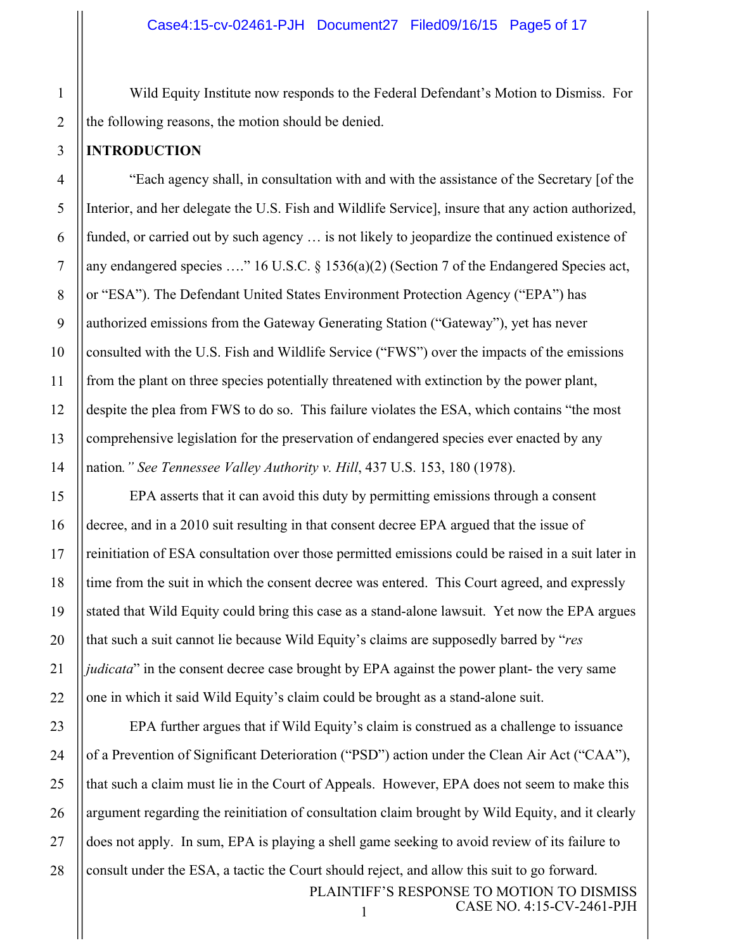Wild Equity Institute now responds to the Federal Defendant's Motion to Dismiss. For the following reasons, the motion should be denied.

### **INTRODUCTION**

"Each agency shall, in consultation with and with the assistance of the Secretary [of the Interior, and her delegate the U.S. Fish and Wildlife Service], insure that any action authorized, funded, or carried out by such agency … is not likely to jeopardize the continued existence of any endangered species …." 16 U.S.C. § 1536(a)(2) (Section 7 of the Endangered Species act, or "ESA"). The Defendant United States Environment Protection Agency ("EPA") has authorized emissions from the Gateway Generating Station ("Gateway"), yet has never consulted with the U.S. Fish and Wildlife Service ("FWS") over the impacts of the emissions from the plant on three species potentially threatened with extinction by the power plant, despite the plea from FWS to do so. This failure violates the ESA, which contains "the most comprehensive legislation for the preservation of endangered species ever enacted by any nation*." See Tennessee Valley Authority v. Hill*, 437 U.S. 153, 180 (1978).

EPA asserts that it can avoid this duty by permitting emissions through a consent decree, and in a 2010 suit resulting in that consent decree EPA argued that the issue of reinitiation of ESA consultation over those permitted emissions could be raised in a suit later in time from the suit in which the consent decree was entered. This Court agreed, and expressly stated that Wild Equity could bring this case as a stand-alone lawsuit. Yet now the EPA argues that such a suit cannot lie because Wild Equity's claims are supposedly barred by "*res judicata*" in the consent decree case brought by EPA against the power plant- the very same one in which it said Wild Equity's claim could be brought as a stand-alone suit.

PLAINTIFF'S RESPONSE TO MOTION TO DISMISS 1 CASE NO. 4:15-CV-2461-PJH EPA further argues that if Wild Equity's claim is construed as a challenge to issuance of a Prevention of Significant Deterioration ("PSD") action under the Clean Air Act ("CAA"), that such a claim must lie in the Court of Appeals. However, EPA does not seem to make this argument regarding the reinitiation of consultation claim brought by Wild Equity, and it clearly does not apply. In sum, EPA is playing a shell game seeking to avoid review of its failure to consult under the ESA, a tactic the Court should reject, and allow this suit to go forward.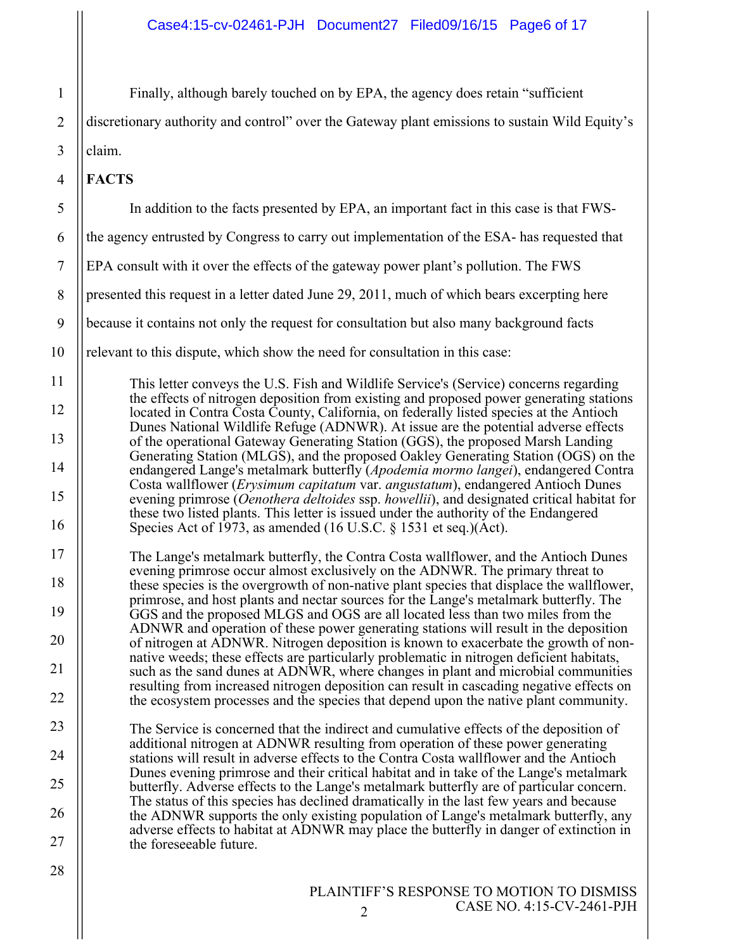| $\mathbf{1}$   |
|----------------|
| $\overline{2}$ |
| 3              |
| 4              |
| 5              |
| 6              |
| $\overline{7}$ |
| 8              |
| 9              |
| 10             |
| 11             |
| 12             |
| 13             |
| 14             |
| 15             |
| 16             |
| 17             |
| 18             |
| 19             |
| 20             |
| 21             |
| 22             |
| 23             |
| 24             |
| 25             |
| 26             |
| 27             |
| 28             |

claim.

**FACTS**

Finally, although barely touched on by EPA, the agency does retain "sufficient

discretionary authority and control" over the Gateway plant emissions to sustain Wild Equity's

In addition to the facts presented by EPA, an important fact in this case is that FWS-

This letter conveys the U.S. Fish and Wildlife Service's (Service) concerns regarding the effects of nitrogen deposition from existing and proposed power generating stations

the agency entrusted by Congress to carry out implementation of the ESA- has requested that

presented this request in a letter dated June 29, 2011, much of which bears excerpting here

because it contains not only the request for consultation but also many background facts

relevant to this dispute, which show the need for consultation in this case:

EPA consult with it over the effects of the gateway power plant's pollution. The FWS

- located in Contra Costa County, California, on federally listed species at the Antioch Dunes National Wildlife Refuge (ADNWR). At issue are the potential adverse effects of the operational Gateway Generating Station (GGS), the proposed Marsh Landing Generating Station (MLGS), and the proposed Oakley Generating Station (OGS) on the endangered Lange's metalmark butterfly (*Apodemia mormo langei*), endangered Contra Costa wallflower (*Erysimum capitatum* var. *angustatum*), endangered Antioch Dunes evening primrose (*Oenothera deltoides* ssp. *howellii*), and designated critical habitat for these two listed plants. This letter is issued under the authority of the Endangered Species Act of 1973, as amended (16 U.S.C.  $\S$  1531 et seq.)(Act). The Lange's metalmark butterfly, the Contra Costa wallflower, and the Antioch Dunes evening primrose occur almost exclusively on the ADNWR. The primary threat to these species is the overgrowth of non-native plant species that displace the wallflower, primrose, and host plants and nectar sources for the Lange's metalmark butterfly. The GGS and the proposed MLGS and OGS are all located less than two miles from the ADNWR and operation of these power generating stations will result in the deposition
- of nitrogen at ADNWR. Nitrogen deposition is known to exacerbate the growth of nonnative weeds; these effects are particularly problematic in nitrogen deficient habitats, such as the sand dunes at ADNWR, where changes in plant and microbial communities resulting from increased nitrogen deposition can result in cascading negative effects on the ecosystem processes and the species that depend upon the native plant community.
- The Service is concerned that the indirect and cumulative effects of the deposition of additional nitrogen at ADNWR resulting from operation of these power generating stations will result in adverse effects to the Contra Costa wallflower and the Antioch Dunes evening primrose and their critical habitat and in take of the Lange's metalmark butterfly. Adverse effects to the Lange's metalmark butterfly are of particular concern. The status of this species has declined dramatically in the last few years and because the ADNWR supports the only existing population of Lange's metalmark butterfly, any adverse effects to habitat at ADNWR may place the butterfly in danger of extinction in the foreseeable future.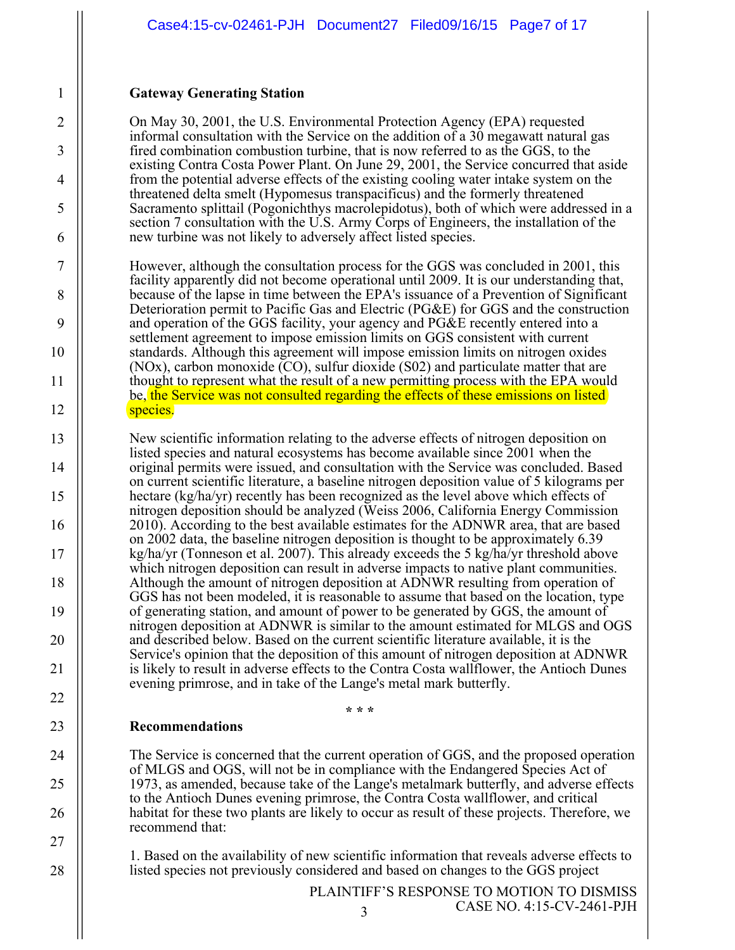# **Gateway Generating Station**

On May 30, 2001, the U.S. Environmental Protection Agency (EPA) requested informal consultation with the Service on the addition of a 30 megawatt natural gas fired combination combustion turbine, that is now referred to as the GGS, to the existing Contra Costa Power Plant. On June 29, 2001, the Service concurred that aside from the potential adverse effects of the existing cooling water intake system on the threatened delta smelt (Hypomesus transpacificus) and the formerly threatened Sacramento splittail (Pogonichthys macrolepidotus), both of which were addressed in a section 7 consultation with the U.S. Army Corps of Engineers, the installation of the new turbine was not likely to adversely affect listed species.

However, although the consultation process for the GGS was concluded in 2001, this facility apparently did not become operational until 2009. It is our understanding that, because of the lapse in time between the EPA's issuance of a Prevention of Significant Deterioration permit to Pacific Gas and Electric (PG&E) for GGS and the construction and operation of the GGS facility, your agency and PG&E recently entered into a settlement agreement to impose emission limits on GGS consistent with current standards. Although this agreement will impose emission limits on nitrogen oxides (NOx), carbon monoxide (CO), sulfur dioxide (S02) and particulate matter that are thought to represent what the result of a new permitting process with the EPA would be, the Service was not consulted regarding the effects of these emissions on listed species.

New scientific information relating to the adverse effects of nitrogen deposition on listed species and natural ecosystems has become available since 2001 when the original permits were issued, and consultation with the Service was concluded. Based on current scientific literature, a baseline nitrogen deposition value of 5 kilograms per hectare (kg/ha/yr) recently has been recognized as the level above which effects of nitrogen deposition should be analyzed (Weiss 2006, California Energy Commission 2010). According to the best available estimates for the ADNWR area, that are based on 2002 data, the baseline nitrogen deposition is thought to be approximately 6.39 kg/ha/yr (Tonneson et al. 2007). This already exceeds the 5 kg/ha/yr threshold above which nitrogen deposition can result in adverse impacts to native plant communities. Although the amount of nitrogen deposition at ADNWR resulting from operation of GGS has not been modeled, it is reasonable to assume that based on the location, type of generating station, and amount of power to be generated by GGS, the amount of nitrogen deposition at ADNWR is similar to the amount estimated for MLGS and OGS and described below. Based on the current scientific literature available, it is the Service's opinion that the deposition of this amount of nitrogen deposition at ADNWR is likely to result in adverse effects to the Contra Costa wallflower, the Antioch Dunes evening primrose, and in take of the Lange's metal mark butterfly.

# **Recommendations**

The Service is concerned that the current operation of GGS, and the proposed operation of MLGS and OGS, will not be in compliance with the Endangered Species Act of 1973, as amended, because take of the Lange's metalmark butterfly, and adverse effects to the Antioch Dunes evening primrose, the Contra Costa wallflower, and critical habitat for these two plants are likely to occur as result of these projects. Therefore, we recommend that:

**\* \* \*** 

1. Based on the availability of new scientific information that reveals adverse effects to listed species not previously considered and based on changes to the GGS project

> PLAINTIFF'S RESPONSE TO MOTION TO DISMISS 3 CASE NO. 4:15-CV-2461-PJH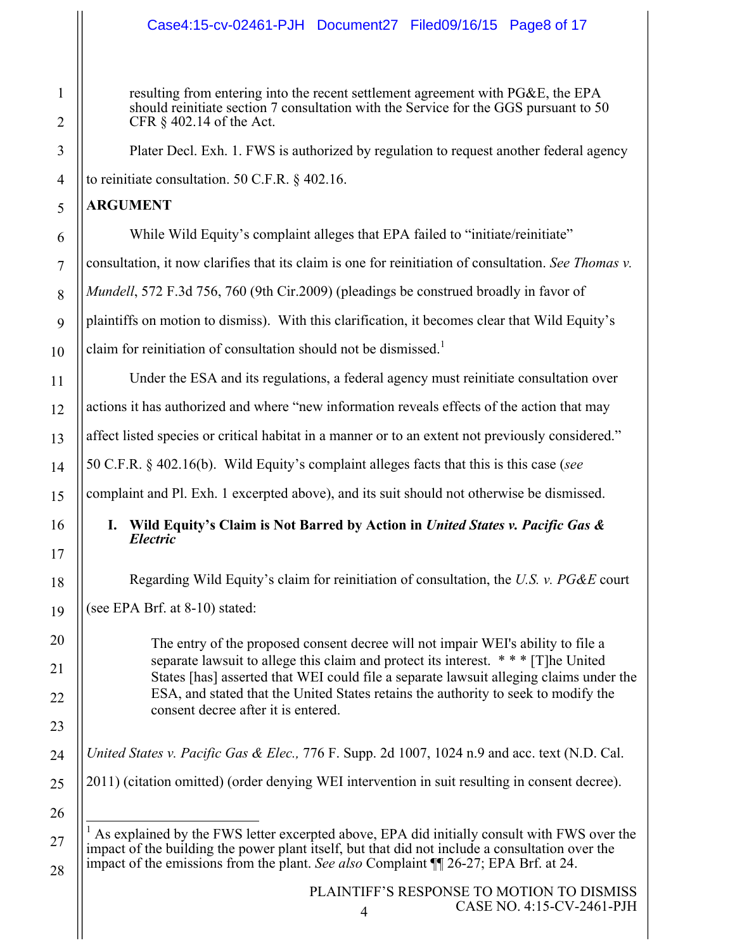# Case4:15-cv-02461-PJH Document27 Filed09/16/15 Page8 of 17

resulting from entering into the recent settlement agreement with PG&E, the EPA should reinitiate section 7 consultation with the Service for the GGS pursuant to 50 CFR § 402.14 of the Act.

Plater Decl. Exh. 1. FWS is authorized by regulation to request another federal agency to reinitiate consultation. 50 C.F.R. § 402.16.

### **ARGUMENT**

While Wild Equity's complaint alleges that EPA failed to "initiate/reinitiate" consultation, it now clarifies that its claim is one for reinitiation of consultation. *See Thomas v. Mundell*, 572 F.3d 756, 760 (9th Cir.2009) (pleadings be construed broadly in favor of plaintiffs on motion to dismiss). With this clarification, it becomes clear that Wild Equity's claim for reinitiation of consultation should not be dismissed.<sup>1</sup>

Under the ESA and its regulations, a federal agency must reinitiate consultation over actions it has authorized and where "new information reveals effects of the action that may affect listed species or critical habitat in a manner or to an extent not previously considered." 50 C.F.R. § 402.16(b). Wild Equity's complaint alleges facts that this is this case (*see*  complaint and Pl. Exh. 1 excerpted above), and its suit should not otherwise be dismissed.

# **I. Wild Equity's Claim is Not Barred by Action in** *United States v. Pacific Gas & Electric*

Regarding Wild Equity's claim for reinitiation of consultation, the *U.S. v. PG&E* court

(see EPA Brf. at 8-10) stated:

The entry of the proposed consent decree will not impair WEI's ability to file a separate lawsuit to allege this claim and protect its interest. \* \* \* [T]he United States [has] asserted that WEI could file a separate lawsuit alleging claims under the ESA, and stated that the United States retains the authority to seek to modify the consent decree after it is entered.

*United States v. Pacific Gas & Elec.,* 776 F. Supp. 2d 1007, 1024 n.9 and acc. text (N.D. Cal.

2011) (citation omitted) (order denying WEI intervention in suit resulting in consent decree).

 $<sup>1</sup>$  As explained by the FWS letter excerpted above, EPA did initially consult with FWS over the</sup> impact of the building the power plant itself, but that did not include a consultation over the impact of the emissions from the plant. *See also* Complaint ¶¶ 26-27; EPA Brf. at 24.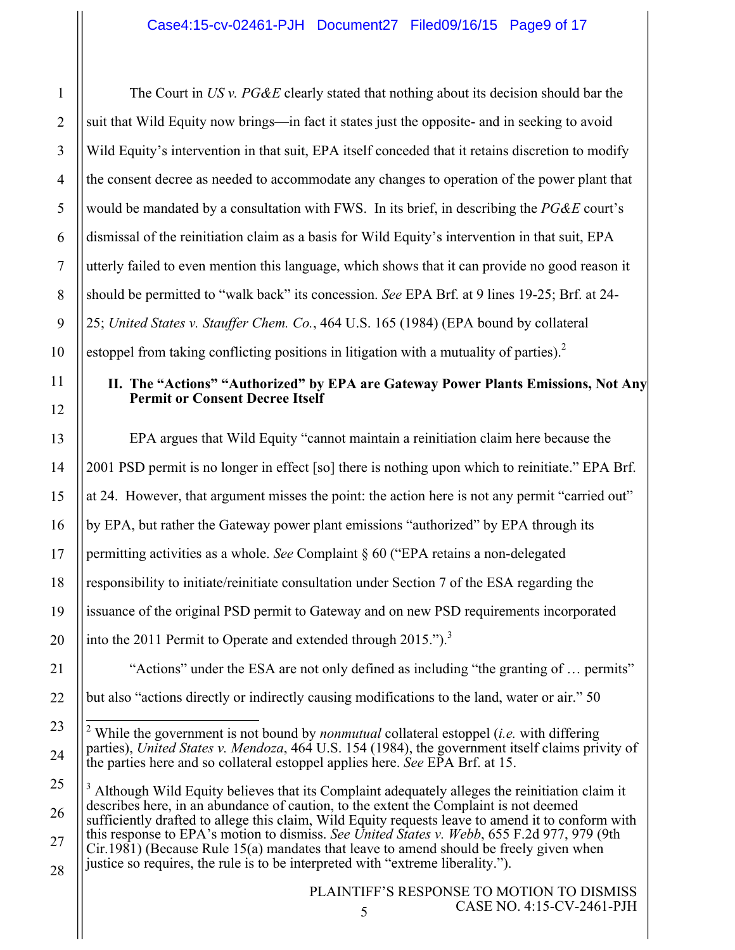The Court in *US v. PG&E* clearly stated that nothing about its decision should bar the suit that Wild Equity now brings—in fact it states just the opposite- and in seeking to avoid Wild Equity's intervention in that suit, EPA itself conceded that it retains discretion to modify the consent decree as needed to accommodate any changes to operation of the power plant that would be mandated by a consultation with FWS. In its brief, in describing the *PG&E* court's dismissal of the reinitiation claim as a basis for Wild Equity's intervention in that suit, EPA utterly failed to even mention this language, which shows that it can provide no good reason it should be permitted to "walk back" its concession. *See* EPA Brf. at 9 lines 19-25; Brf. at 24- 25; *United States v. Stauffer Chem. Co.*, 464 U.S. 165 (1984) (EPA bound by collateral estoppel from taking conflicting positions in litigation with a mutuality of parties). $2$ 

# **II. The "Actions" "Authorized" by EPA are Gateway Power Plants Emissions, Not Any Permit or Consent Decree Itself**

EPA argues that Wild Equity "cannot maintain a reinitiation claim here because the 2001 PSD permit is no longer in effect [so] there is nothing upon which to reinitiate." EPA Brf. at 24. However, that argument misses the point: the action here is not any permit "carried out" by EPA, but rather the Gateway power plant emissions "authorized" by EPA through its permitting activities as a whole. *See* Complaint § 60 ("EPA retains a non-delegated responsibility to initiate/reinitiate consultation under Section 7 of the ESA regarding the issuance of the original PSD permit to Gateway and on new PSD requirements incorporated into the 2011 Permit to Operate and extended through 2015.").<sup>3</sup>

"Actions" under the ESA are not only defined as including "the granting of … permits" but also "actions directly or indirectly causing modifications to the land, water or air." 50

<sup>3</sup> Although Wild Equity believes that its Complaint adequately alleges the reinitiation claim it describes here, in an abundance of caution, to the extent the Complaint is not deemed sufficiently drafted to allege this claim, Wild Equity requests leave to amend it to conform with this response to EPA's motion to dismiss. *See United States v. Webb*, 655 F.2d 977, 979 (9th Cir.1981) (Because Rule 15(a) mandates that leave to amend should be freely given when justice so requires, the rule is to be interpreted with "extreme liberality.").

 <sup>2</sup> While the government is not bound by *nonmutual* collateral estoppel (*i.e.* with differing parties), *United States v. Mendoza*, 464 U.S. 154 (1984), the government itself claims privity of the parties here and so collateral estoppel applies here. *See* EPA Brf. at 15.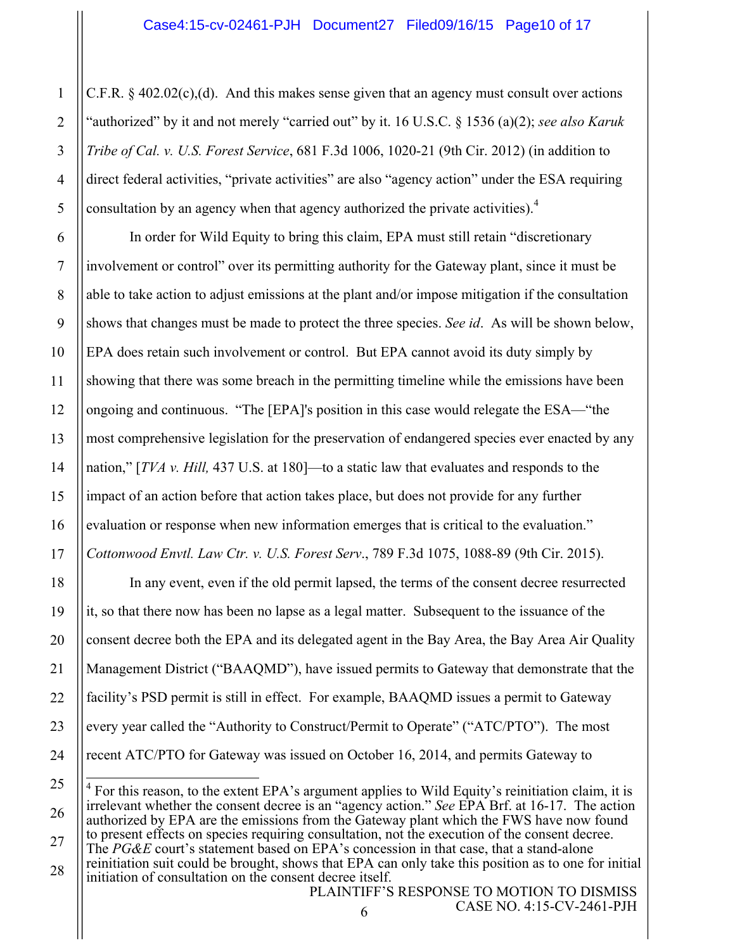C.F.R. § 402.02(c),(d). And this makes sense given that an agency must consult over actions "authorized" by it and not merely "carried out" by it. 16 U.S.C. § 1536 (a)(2); *see also Karuk Tribe of Cal. v. U.S. Forest Service*, 681 F.3d 1006, 1020-21 (9th Cir. 2012) (in addition to direct federal activities, "private activities" are also "agency action" under the ESA requiring consultation by an agency when that agency authorized the private activities).<sup>4</sup>

In order for Wild Equity to bring this claim, EPA must still retain "discretionary involvement or control" over its permitting authority for the Gateway plant, since it must be able to take action to adjust emissions at the plant and/or impose mitigation if the consultation shows that changes must be made to protect the three species. *See id*. As will be shown below, EPA does retain such involvement or control. But EPA cannot avoid its duty simply by showing that there was some breach in the permitting timeline while the emissions have been ongoing and continuous. "The [EPA]'s position in this case would relegate the ESA—"the most comprehensive legislation for the preservation of endangered species ever enacted by any nation," [*TVA v. Hill,* 437 U.S. at 180]—to a static law that evaluates and responds to the impact of an action before that action takes place, but does not provide for any further evaluation or response when new information emerges that is critical to the evaluation." *Cottonwood Envtl. Law Ctr. v. U.S. Forest Serv*., 789 F.3d 1075, 1088-89 (9th Cir. 2015).

In any event, even if the old permit lapsed, the terms of the consent decree resurrected it, so that there now has been no lapse as a legal matter. Subsequent to the issuance of the consent decree both the EPA and its delegated agent in the Bay Area, the Bay Area Air Quality Management District ("BAAQMD"), have issued permits to Gateway that demonstrate that the facility's PSD permit is still in effect. For example, BAAQMD issues a permit to Gateway every year called the "Authority to Construct/Permit to Operate" ("ATC/PTO"). The most recent ATC/PTO for Gateway was issued on October 16, 2014, and permits Gateway to

The *PG&E* court's statement based on EPA's concession in that case, that a stand-alone reinitiation suit could be brought, shows that EPA can only take this position as to one for initial initiation of consultation on the consent decree itself.

 $4$  For this reason, to the extent EPA's argument applies to Wild Equity's reinitiation claim, it is irrelevant whether the consent decree is an "agency action." *See* EPA Brf. at 16-17. The action authorized by EPA are the emissions from the Gateway plant which the FWS have now found to present effects on species requiring consultation, not the execution of the consent decree.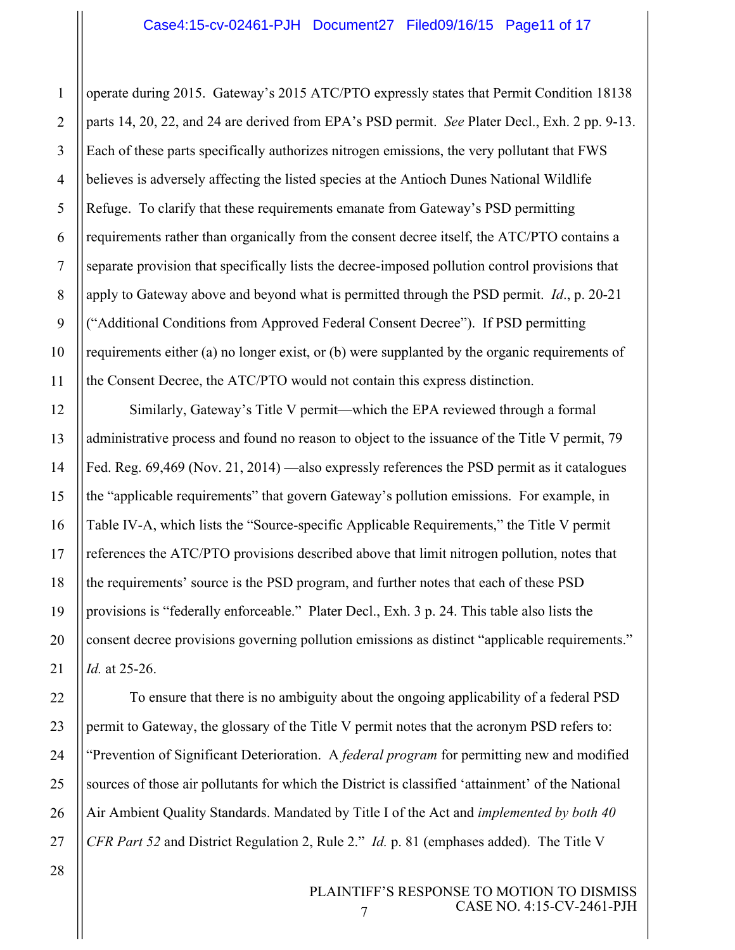operate during 2015. Gateway's 2015 ATC/PTO expressly states that Permit Condition 18138 parts 14, 20, 22, and 24 are derived from EPA's PSD permit. *See* Plater Decl., Exh. 2 pp. 9-13. Each of these parts specifically authorizes nitrogen emissions, the very pollutant that FWS believes is adversely affecting the listed species at the Antioch Dunes National Wildlife Refuge. To clarify that these requirements emanate from Gateway's PSD permitting requirements rather than organically from the consent decree itself, the ATC/PTO contains a separate provision that specifically lists the decree-imposed pollution control provisions that apply to Gateway above and beyond what is permitted through the PSD permit. *Id*., p. 20-21 ("Additional Conditions from Approved Federal Consent Decree"). If PSD permitting requirements either (a) no longer exist, or (b) were supplanted by the organic requirements of the Consent Decree, the ATC/PTO would not contain this express distinction.

Similarly, Gateway's Title V permit—which the EPA reviewed through a formal administrative process and found no reason to object to the issuance of the Title V permit, 79 Fed. Reg. 69,469 (Nov. 21, 2014) —also expressly references the PSD permit as it catalogues the "applicable requirements" that govern Gateway's pollution emissions. For example, in Table IV-A, which lists the "Source-specific Applicable Requirements," the Title V permit references the ATC/PTO provisions described above that limit nitrogen pollution, notes that the requirements' source is the PSD program, and further notes that each of these PSD provisions is "federally enforceable." Plater Decl., Exh. 3 p. 24. This table also lists the consent decree provisions governing pollution emissions as distinct "applicable requirements." *Id.* at 25-26.

To ensure that there is no ambiguity about the ongoing applicability of a federal PSD permit to Gateway, the glossary of the Title V permit notes that the acronym PSD refers to: "Prevention of Significant Deterioration. A *federal program* for permitting new and modified sources of those air pollutants for which the District is classified 'attainment' of the National Air Ambient Quality Standards. Mandated by Title I of the Act and *implemented by both 40 CFR Part 52* and District Regulation 2, Rule 2." *Id.* p. 81 (emphases added). The Title V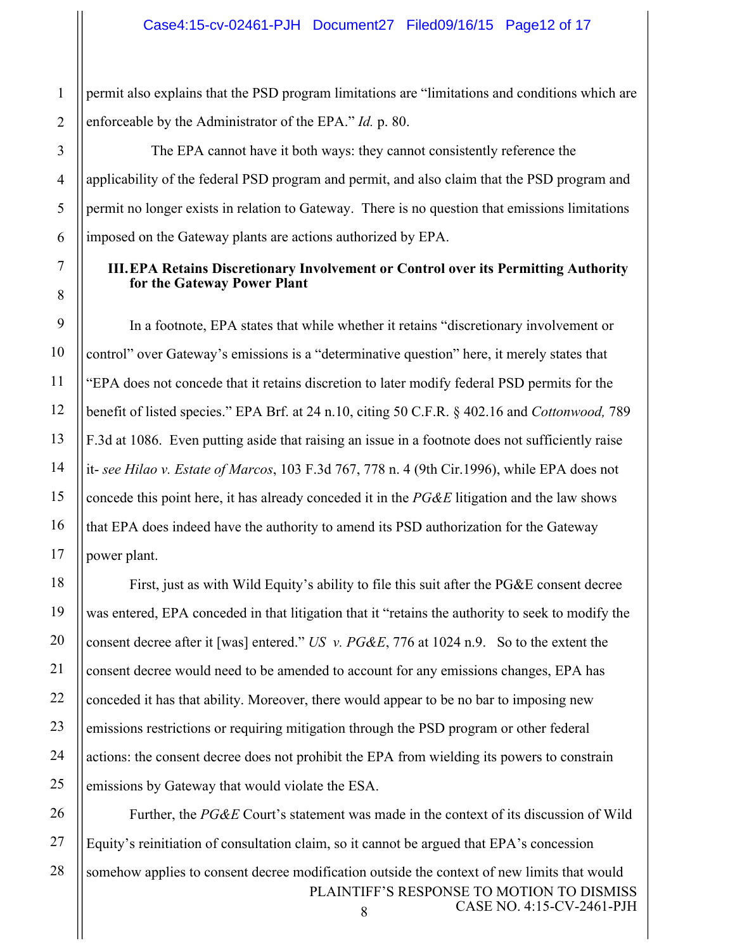permit also explains that the PSD program limitations are "limitations and conditions which are enforceable by the Administrator of the EPA." *Id.* p. 80.

The EPA cannot have it both ways: they cannot consistently reference the applicability of the federal PSD program and permit, and also claim that the PSD program and permit no longer exists in relation to Gateway. There is no question that emissions limitations imposed on the Gateway plants are actions authorized by EPA.

### **III.EPA Retains Discretionary Involvement or Control over its Permitting Authority for the Gateway Power Plant**

In a footnote, EPA states that while whether it retains "discretionary involvement or control" over Gateway's emissions is a "determinative question" here, it merely states that "EPA does not concede that it retains discretion to later modify federal PSD permits for the benefit of listed species." EPA Brf. at 24 n.10, citing 50 C.F.R. § 402.16 and *Cottonwood,* 789 F.3d at 1086. Even putting aside that raising an issue in a footnote does not sufficiently raise it- *see Hilao v. Estate of Marcos*, 103 F.3d 767, 778 n. 4 (9th Cir.1996), while EPA does not concede this point here, it has already conceded it in the *PG&E* litigation and the law shows that EPA does indeed have the authority to amend its PSD authorization for the Gateway power plant.

First, just as with Wild Equity's ability to file this suit after the PG&E consent decree was entered, EPA conceded in that litigation that it "retains the authority to seek to modify the consent decree after it [was] entered." *US v. PG&E*, 776 at 1024 n.9. So to the extent the consent decree would need to be amended to account for any emissions changes, EPA has conceded it has that ability. Moreover, there would appear to be no bar to imposing new emissions restrictions or requiring mitigation through the PSD program or other federal actions: the consent decree does not prohibit the EPA from wielding its powers to constrain emissions by Gateway that would violate the ESA.

PLAINTIFF'S RESPONSE TO MOTION TO DISMISS 8 CASE NO. 4:15-CV-2461-PJH Further, the *PG&E* Court's statement was made in the context of its discussion of Wild Equity's reinitiation of consultation claim, so it cannot be argued that EPA's concession somehow applies to consent decree modification outside the context of new limits that would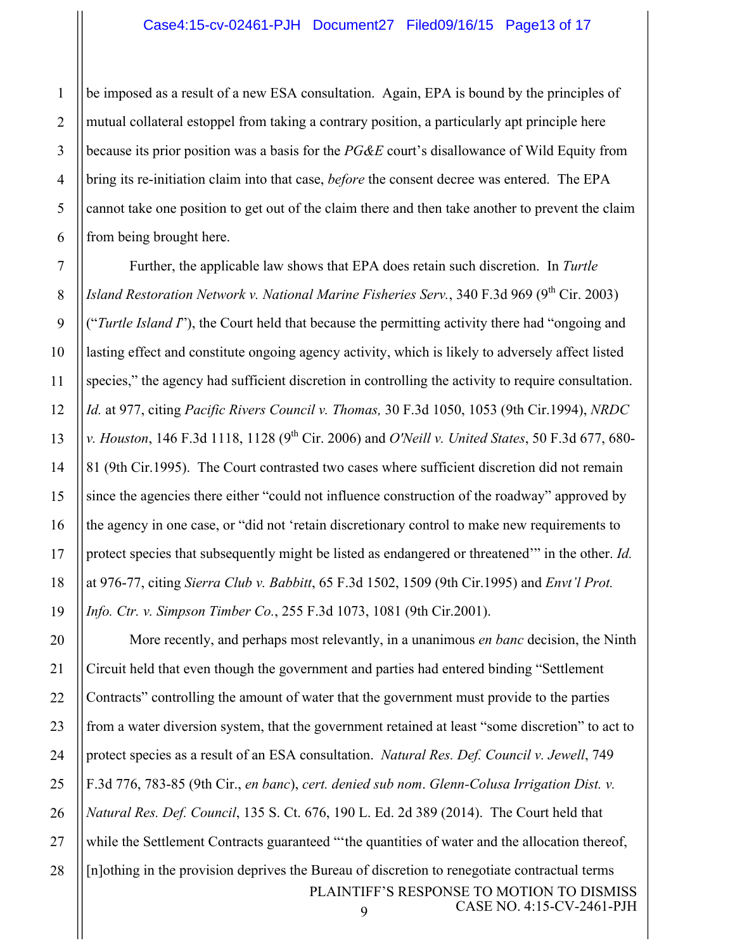be imposed as a result of a new ESA consultation. Again, EPA is bound by the principles of mutual collateral estoppel from taking a contrary position, a particularly apt principle here because its prior position was a basis for the *PG&E* court's disallowance of Wild Equity from bring its re-initiation claim into that case, *before* the consent decree was entered. The EPA cannot take one position to get out of the claim there and then take another to prevent the claim from being brought here.

Further, the applicable law shows that EPA does retain such discretion. In *Turtle Island Restoration Network v. National Marine Fisheries Serv.*, 340 F.3d 969 (9<sup>th</sup> Cir. 2003) ("*Turtle Island I*"), the Court held that because the permitting activity there had "ongoing and lasting effect and constitute ongoing agency activity, which is likely to adversely affect listed species," the agency had sufficient discretion in controlling the activity to require consultation. *Id.* at 977, citing *Pacific Rivers Council v. Thomas,* 30 F.3d 1050, 1053 (9th Cir.1994), *NRDC v. Houston*, 146 F.3d 1118, 1128 (9<sup>th</sup> Cir. 2006) and *O'Neill v. United States*, 50 F.3d 677, 680-81 (9th Cir.1995). The Court contrasted two cases where sufficient discretion did not remain since the agencies there either "could not influence construction of the roadway" approved by the agency in one case, or "did not 'retain discretionary control to make new requirements to protect species that subsequently might be listed as endangered or threatened'" in the other. *Id.* at 976-77, citing *Sierra Club v. Babbitt*, 65 F.3d 1502, 1509 (9th Cir.1995) and *Envt'l Prot. Info. Ctr. v. Simpson Timber Co.*, 255 F.3d 1073, 1081 (9th Cir.2001).

PLAINTIFF'S RESPONSE TO MOTION TO DISMISS CASE NO. 4:15-CV-2461-PJH 9 More recently, and perhaps most relevantly, in a unanimous *en banc* decision, the Ninth Circuit held that even though the government and parties had entered binding "Settlement Contracts" controlling the amount of water that the government must provide to the parties from a water diversion system, that the government retained at least "some discretion" to act to protect species as a result of an ESA consultation. *Natural Res. Def. Council v. Jewell*, 749 F.3d 776, 783-85 (9th Cir., *en banc*), *cert. denied sub nom*. *Glenn-Colusa Irrigation Dist. v. Natural Res. Def. Council*, 135 S. Ct. 676, 190 L. Ed. 2d 389 (2014). The Court held that while the Settlement Contracts guaranteed ""the quantities of water and the allocation thereof, [n]othing in the provision deprives the Bureau of discretion to renegotiate contractual terms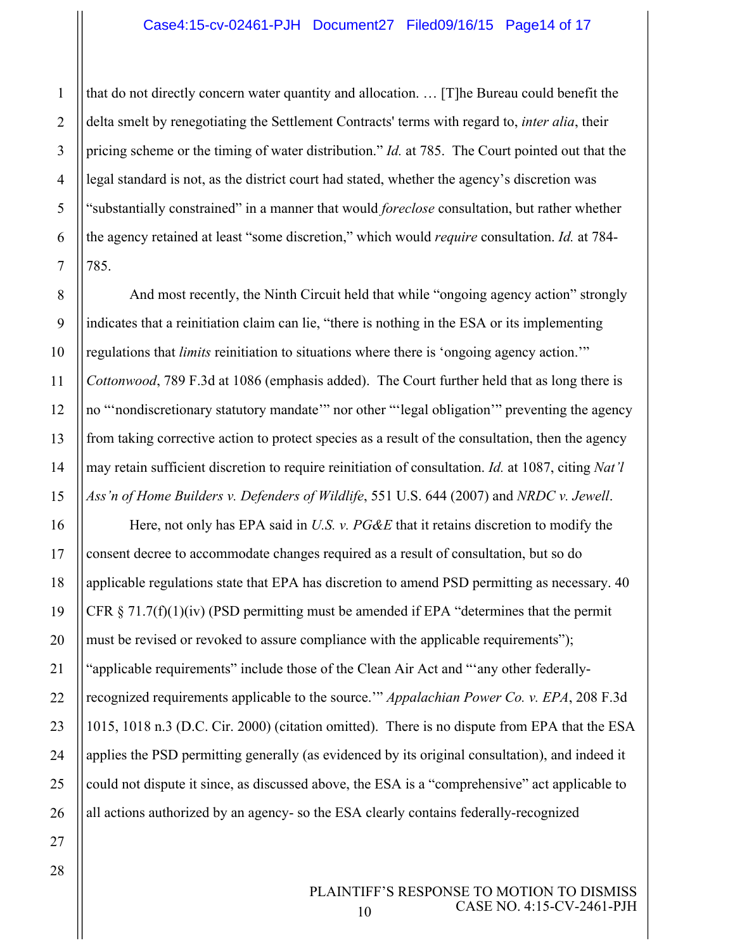### Case4:15-cv-02461-PJH Document27 Filed09/16/15 Page14 of 17

that do not directly concern water quantity and allocation. … [T]he Bureau could benefit the delta smelt by renegotiating the Settlement Contracts' terms with regard to, *inter alia*, their pricing scheme or the timing of water distribution." *Id.* at 785. The Court pointed out that the legal standard is not, as the district court had stated, whether the agency's discretion was "substantially constrained" in a manner that would *foreclose* consultation, but rather whether the agency retained at least "some discretion," which would *require* consultation. *Id.* at 784- 785.

And most recently, the Ninth Circuit held that while "ongoing agency action" strongly indicates that a reinitiation claim can lie, "there is nothing in the ESA or its implementing regulations that *limits* reinitiation to situations where there is 'ongoing agency action.'" *Cottonwood*, 789 F.3d at 1086 (emphasis added). The Court further held that as long there is no "'nondiscretionary statutory mandate'" nor other "'legal obligation'" preventing the agency from taking corrective action to protect species as a result of the consultation, then the agency may retain sufficient discretion to require reinitiation of consultation. *Id.* at 1087, citing *Nat'l Ass'n of Home Builders v. Defenders of Wildlife*, 551 U.S. 644 (2007) and *NRDC v. Jewell*.

Here, not only has EPA said in *U.S. v. PG&E* that it retains discretion to modify the consent decree to accommodate changes required as a result of consultation, but so do applicable regulations state that EPA has discretion to amend PSD permitting as necessary. 40 CFR  $\S 71.7(f)(1)(iv)$  (PSD permitting must be amended if EPA "determines that the permit must be revised or revoked to assure compliance with the applicable requirements"); "applicable requirements" include those of the Clean Air Act and "'any other federallyrecognized requirements applicable to the source.'" *Appalachian Power Co. v. EPA*, 208 F.3d 1015, 1018 n.3 (D.C. Cir. 2000) (citation omitted). There is no dispute from EPA that the ESA applies the PSD permitting generally (as evidenced by its original consultation), and indeed it could not dispute it since, as discussed above, the ESA is a "comprehensive" act applicable to all actions authorized by an agency- so the ESA clearly contains federally-recognized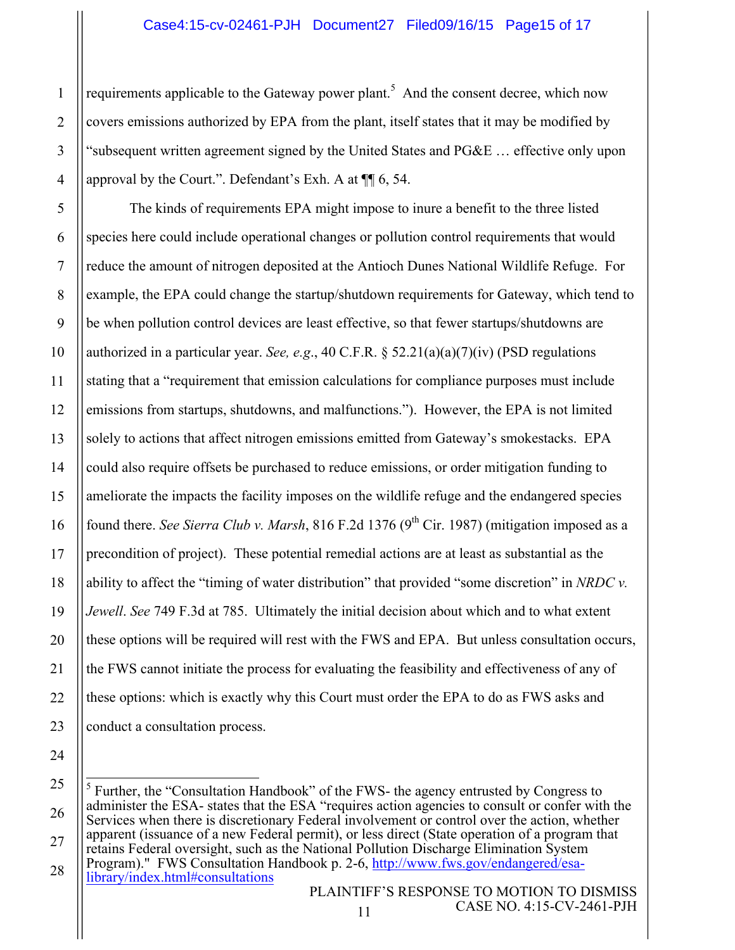requirements applicable to the Gateway power plant.<sup>5</sup> And the consent decree, which now covers emissions authorized by EPA from the plant, itself states that it may be modified by "subsequent written agreement signed by the United States and PG&E … effective only upon approval by the Court.". Defendant's Exh. A at ¶¶ 6, 54.

The kinds of requirements EPA might impose to inure a benefit to the three listed species here could include operational changes or pollution control requirements that would reduce the amount of nitrogen deposited at the Antioch Dunes National Wildlife Refuge. For example, the EPA could change the startup/shutdown requirements for Gateway, which tend to be when pollution control devices are least effective, so that fewer startups/shutdowns are authorized in a particular year. *See, e.g*., 40 C.F.R. § 52.21(a)(a)(7)(iv) (PSD regulations stating that a "requirement that emission calculations for compliance purposes must include emissions from startups, shutdowns, and malfunctions."). However, the EPA is not limited solely to actions that affect nitrogen emissions emitted from Gateway's smokestacks. EPA could also require offsets be purchased to reduce emissions, or order mitigation funding to ameliorate the impacts the facility imposes on the wildlife refuge and the endangered species found there. *See Sierra Club v. Marsh*, 816 F.2d 1376 (9<sup>th</sup> Cir. 1987) (mitigation imposed as a precondition of project). These potential remedial actions are at least as substantial as the ability to affect the "timing of water distribution" that provided "some discretion" in *NRDC v. Jewell*. *See* 749 F.3d at 785. Ultimately the initial decision about which and to what extent these options will be required will rest with the FWS and EPA. But unless consultation occurs, the FWS cannot initiate the process for evaluating the feasibility and effectiveness of any of these options: which is exactly why this Court must order the EPA to do as FWS asks and conduct a consultation process.

 $<sup>5</sup>$  Further, the "Consultation Handbook" of the FWS- the agency entrusted by Congress to</sup> administer the ESA- states that the ESA "requires action agencies to consult or confer with the Services when there is discretionary Federal involvement or control over the action, whether apparent (issuance of a new Federal permit), or less direct (State operation of a program that retains Federal oversight, such as the National Pollution Discharge Elimination System Program)." FWS Consultation Handbook p. 2-6, http://www.fws.gov/endangered/esa-<br>library/index.html#consultations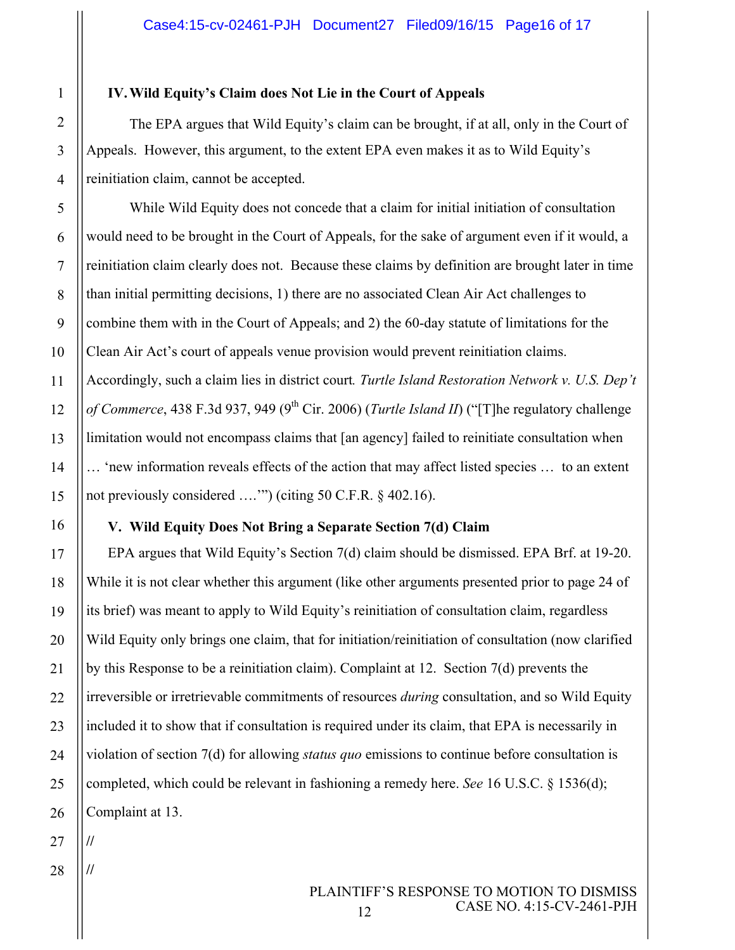### **IV.Wild Equity's Claim does Not Lie in the Court of Appeals**

The EPA argues that Wild Equity's claim can be brought, if at all, only in the Court of Appeals. However, this argument, to the extent EPA even makes it as to Wild Equity's reinitiation claim, cannot be accepted.

While Wild Equity does not concede that a claim for initial initiation of consultation would need to be brought in the Court of Appeals, for the sake of argument even if it would, a reinitiation claim clearly does not. Because these claims by definition are brought later in time than initial permitting decisions, 1) there are no associated Clean Air Act challenges to combine them with in the Court of Appeals; and 2) the 60-day statute of limitations for the Clean Air Act's court of appeals venue provision would prevent reinitiation claims. Accordingly, such a claim lies in district court*. Turtle Island Restoration Network v. U.S. Dep't of Commerce*, 438 F.3d 937, 949 (9<sup>th</sup> Cir. 2006) (*Turtle Island II*) ("[T]he regulatory challenge limitation would not encompass claims that [an agency] failed to reinitiate consultation when … 'new information reveals effects of the action that may affect listed species … to an extent not previously considered ….'") (citing 50 C.F.R. § 402.16).

# **V. Wild Equity Does Not Bring a Separate Section 7(d) Claim**

EPA argues that Wild Equity's Section 7(d) claim should be dismissed. EPA Brf. at 19-20. While it is not clear whether this argument (like other arguments presented prior to page 24 of its brief) was meant to apply to Wild Equity's reinitiation of consultation claim, regardless Wild Equity only brings one claim, that for initiation/reinitiation of consultation (now clarified by this Response to be a reinitiation claim). Complaint at 12. Section 7(d) prevents the irreversible or irretrievable commitments of resources *during* consultation, and so Wild Equity included it to show that if consultation is required under its claim, that EPA is necessarily in violation of section 7(d) for allowing *status quo* emissions to continue before consultation is completed, which could be relevant in fashioning a remedy here. *See* 16 U.S.C. § 1536(d); Complaint at 13.

**//**

**//**

1

2

3

4

5

6

7

8

9

10

11

12

13

14

15

16

17

18

19

20

21

22

23

24

25

26

28